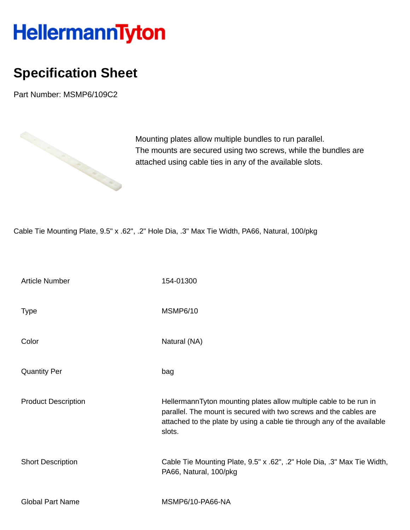## HellermannTyton

## **Specification Sheet**

Part Number: MSMP6/109C2



Mounting plates allow multiple bundles to run parallel. The mounts are secured using two screws, while the bundles are attached using cable ties in any of the available slots.

Cable Tie Mounting Plate, 9.5" x .62", .2" Hole Dia, .3" Max Tie Width, PA66, Natural, 100/pkg

| <b>Article Number</b>      | 154-01300                                                                                                                                                                                                                   |
|----------------------------|-----------------------------------------------------------------------------------------------------------------------------------------------------------------------------------------------------------------------------|
| <b>Type</b>                | <b>MSMP6/10</b>                                                                                                                                                                                                             |
| Color                      | Natural (NA)                                                                                                                                                                                                                |
| <b>Quantity Per</b>        | bag                                                                                                                                                                                                                         |
| <b>Product Description</b> | HellermannTyton mounting plates allow multiple cable to be run in<br>parallel. The mount is secured with two screws and the cables are<br>attached to the plate by using a cable tie through any of the available<br>slots. |
| <b>Short Description</b>   | Cable Tie Mounting Plate, 9.5" x .62", .2" Hole Dia, .3" Max Tie Width,<br>PA66, Natural, 100/pkg                                                                                                                           |
| <b>Global Part Name</b>    | MSMP6/10-PA66-NA                                                                                                                                                                                                            |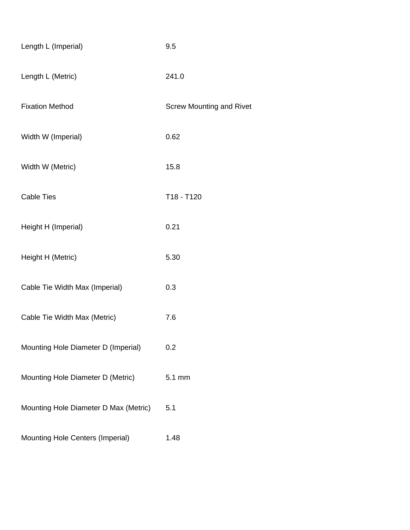| Length L (Imperial)                   | 9.5                             |
|---------------------------------------|---------------------------------|
| Length L (Metric)                     | 241.0                           |
| <b>Fixation Method</b>                | <b>Screw Mounting and Rivet</b> |
| Width W (Imperial)                    | 0.62                            |
| Width W (Metric)                      | 15.8                            |
| <b>Cable Ties</b>                     | T18 - T120                      |
| Height H (Imperial)                   | 0.21                            |
| Height H (Metric)                     | 5.30                            |
| Cable Tie Width Max (Imperial)        | 0.3                             |
| Cable Tie Width Max (Metric)          | 7.6                             |
| Mounting Hole Diameter D (Imperial)   | 0.2                             |
| Mounting Hole Diameter D (Metric)     | 5.1 mm                          |
| Mounting Hole Diameter D Max (Metric) | 5.1                             |
| Mounting Hole Centers (Imperial)      | 1.48                            |